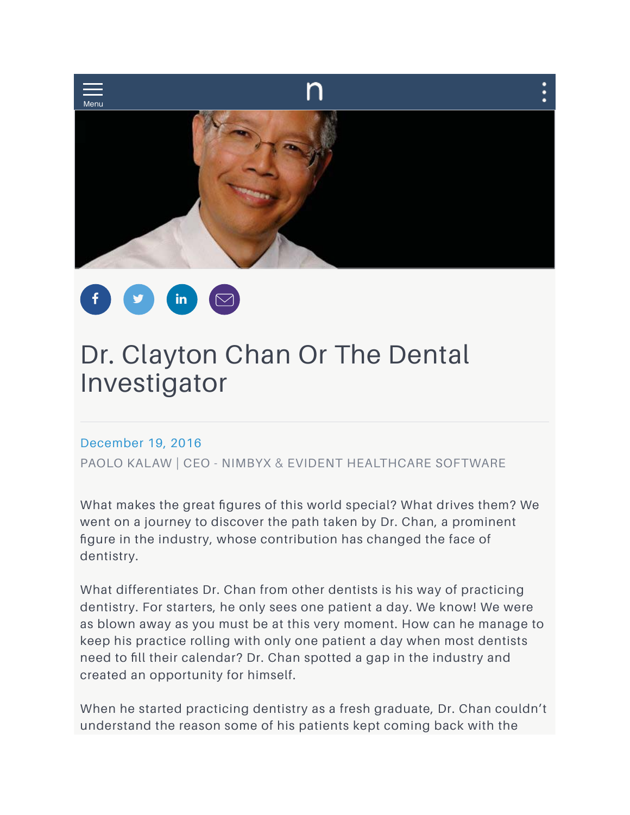



# Dr. Clayton Chan Or The Dental Investigator

## December 19, 2016

PAOLO KALAW | CEO - NIMBYX & EVIDENT HEALTHCARE SOFTWARE

What makes the great figures of this world special? What drives them? We went on a journey to discover the path taken by Dr. Chan, a prominent figure in the industry, whose contribution has changed the face of dentistry.

What differentiates Dr. Chan from other dentists is his way of practicing dentistry. For starters, he only sees one patient a day. We know! We were as blown away as you must be at this very moment. How can he manage to keep his practice rolling with only one patient a day when most dentists need to fill their calendar? Dr. Chan spotted a gap in the industry and created an opportunity for himself.

When he started practicing dentistry as a fresh graduate, Dr. Chan couldn't understand the reason some of his patients kept coming back with the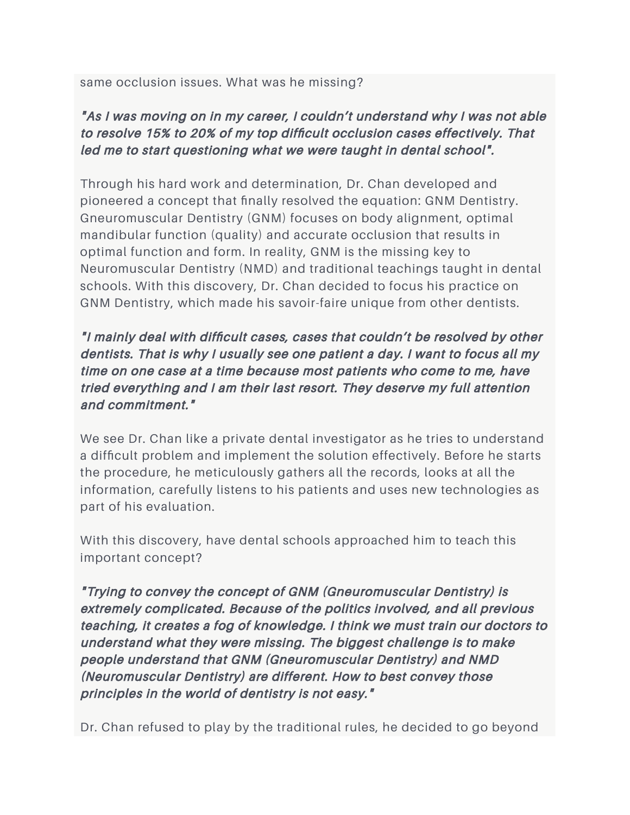same occlusion issues. What was he missing?

## "As I was moving on in my career, I couldn't understand why I was not able to resolve 15% to 20% of my top difficult occlusion cases effectively. That led me to start questioning what we were taught in dental school".

Through his hard work and determination, Dr. Chan developed and pioneered a concept that finally resolved the equation: GNM Dentistry. Gneuromuscular Dentistry (GNM) focuses on body alignment, optimal mandibular function (quality) and accurate occlusion that results in optimal function and form. In reality, GNM is the missing key to Neuromuscular Dentistry (NMD) and traditional teachings taught in dental schools. With this discovery, Dr. Chan decided to focus his practice on GNM Dentistry, which made his savoir-faire unique from other dentists.

"I mainly deal with difficult cases, cases that couldn't be resolved by other dentists. That is why I usually see one patient a day. I want to focus all my time on one case at a time because most patients who come to me, have tried everything and I am their last resort. They deserve my full attention and commitment."

We see Dr. Chan like a private dental investigator as he tries to understand a difficult problem and implement the solution effectively. Before he starts the procedure, he meticulously gathers all the records, looks at all the information, carefully listens to his patients and uses new technologies as part of his evaluation.

With this discovery, have dental schools approached him to teach this important concept?

"Trying to convey the concept of GNM (Gneuromuscular Dentistry) is extremely complicated. Because of the politics involved, and all previous teaching, it creates a fog of knowledge. I think we must train our doctors to understand what they were missing. The biggest challenge is to make people understand that GNM (Gneuromuscular Dentistry) and NMD (Neuromuscular Dentistry) are different. How to best convey those principles in the world of dentistry is not easy."

Dr. Chan refused to play by the traditional rules, he decided to go beyond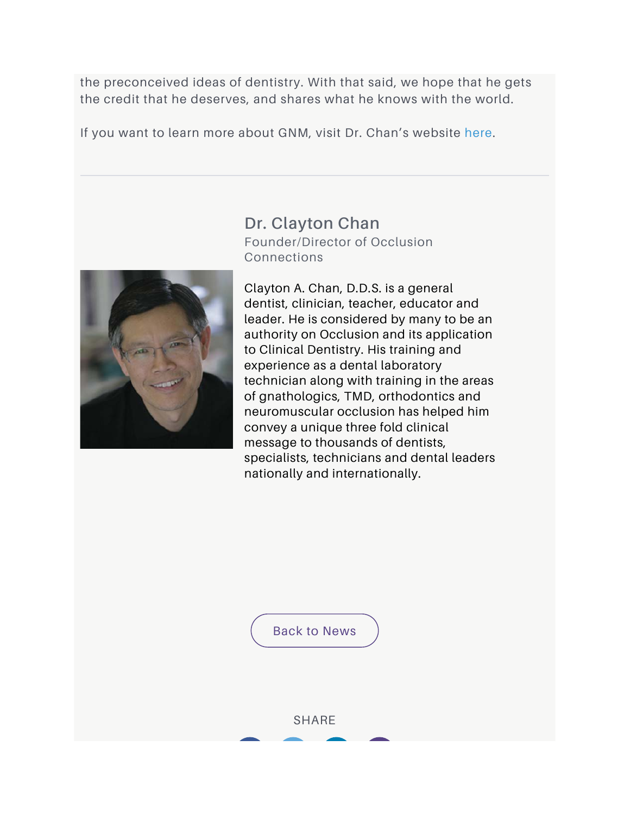the preconceived ideas of dentistry. With that said, we hope that he gets the credit that he deserves, and shares what he knows with the world.

If you want to learn more about GNM, visit Dr. Chan's website here.



Dr. Clayton Chan Founder/Director of Occlusion Connections

Clayton A. Chan, D.D.S. is a general dentist, clinician, teacher, educator and leader. He is considered by many to be an authority on Occlusion and its application to Clinical Dentistry. His training and experience as a dental laboratory technician along with training in the areas of gnathologics, TMD, orthodontics and neuromuscular occlusion has helped him convey a unique three fold clinical message to thousands of dentists, specialists, technicians and dental leaders nationally and internationally.

Back to News

**SHARE**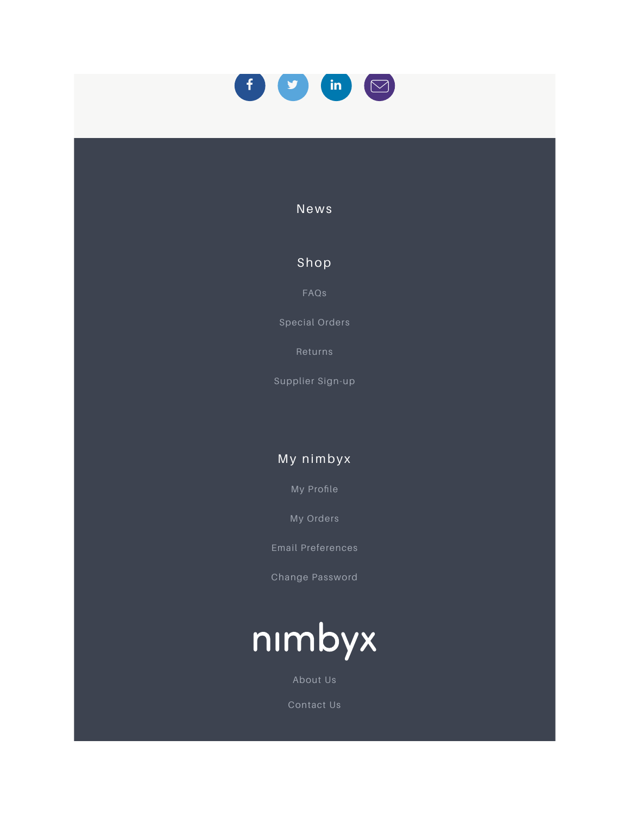

#### News

## Shop

FAQs

Special Orders

Returns

Supplier Sign-up

## My nimbyx

My Profile

My Orders

Change Password



About Us